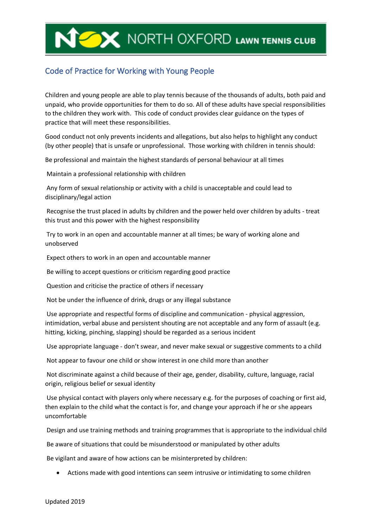## NORTH OXFORD LAWN TENNIS CLUB

## Code of Practice for Working with Young People

Children and young people are able to play tennis because of the thousands of adults, both paid and unpaid, who provide opportunities for them to do so. All of these adults have special responsibilities to the children they work with. This code of conduct provides clear guidance on the types of practice that will meet these responsibilities.

Good conduct not only prevents incidents and allegations, but also helps to highlight any conduct (by other people) that is unsafe or unprofessional. Those working with children in tennis should:

Be professional and maintain the highest standards of personal behaviour at all times

Maintain a professional relationship with children

Any form of sexual relationship or activity with a child is unacceptable and could lead to disciplinary/legal action

Recognise the trust placed in adults by children and the power held over children by adults - treat this trust and this power with the highest responsibility

Try to work in an open and accountable manner at all times; be wary of working alone and unobserved

Expect others to work in an open and accountable manner

Be willing to accept questions or criticism regarding good practice

Question and criticise the practice of others if necessary

Not be under the influence of drink, drugs or any illegal substance

Use appropriate and respectful forms of discipline and communication - physical aggression, intimidation, verbal abuse and persistent shouting are not acceptable and any form of assault (e.g. hitting, kicking, pinching, slapping) should be regarded as a serious incident

Use appropriate language - don't swear, and never make sexual or suggestive comments to a child

Not appear to favour one child or show interest in one child more than another

Not discriminate against a child because of their age, gender, disability, culture, language, racial origin, religious belief or sexual identity

Use physical contact with players only where necessary e.g. for the purposes of coaching or first aid, then explain to the child what the contact is for, and change your approach if he or she appears uncomfortable

Design and use training methods and training programmes that is appropriate to the individual child

Be aware of situations that could be misunderstood or manipulated by other adults

Be vigilant and aware of how actions can be misinterpreted by children:

• Actions made with good intentions can seem intrusive or intimidating to some children